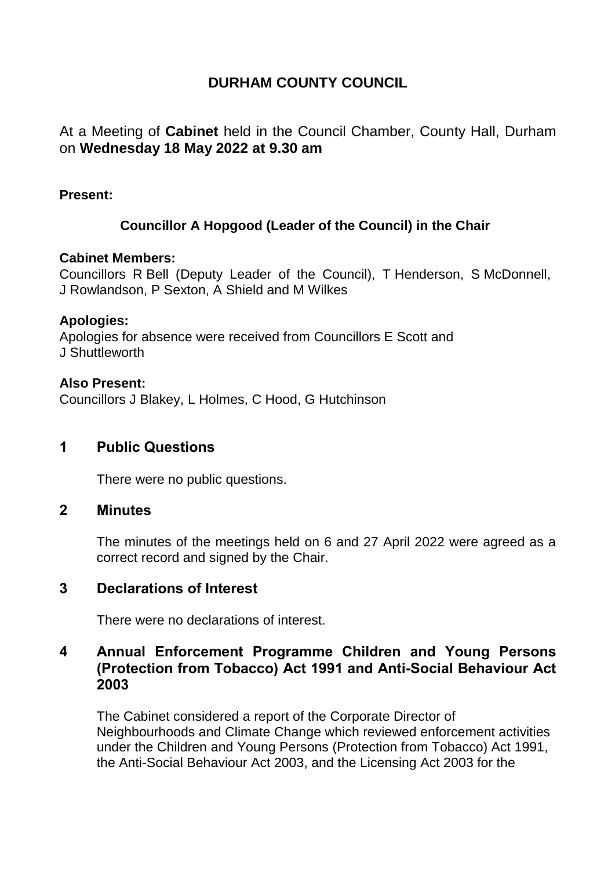# **DURHAM COUNTY COUNCIL**

At a Meeting of **Cabinet** held in the Council Chamber, County Hall, Durham on **Wednesday 18 May 2022 at 9.30 am**

#### **Present:**

# **Councillor A Hopgood (Leader of the Council) in the Chair**

#### **Cabinet Members:**

Councillors R Bell (Deputy Leader of the Council), T Henderson, S McDonnell, J Rowlandson, P Sexton, A Shield and M Wilkes

#### **Apologies:**

Apologies for absence were received from Councillors E Scott and J Shuttleworth

#### **Also Present:**

Councillors J Blakey, L Holmes, C Hood, G Hutchinson

## **1 Public Questions**

There were no public questions.

#### **2 Minutes**

The minutes of the meetings held on 6 and 27 April 2022 were agreed as a correct record and signed by the Chair.

# **3 Declarations of Interest**

There were no declarations of interest.

# **4 Annual Enforcement Programme Children and Young Persons (Protection from Tobacco) Act 1991 and Anti-Social Behaviour Act 2003**

The Cabinet considered a report of the Corporate Director of Neighbourhoods and Climate Change which reviewed enforcement activities under the Children and Young Persons (Protection from Tobacco) Act 1991, the Anti-Social Behaviour Act 2003, and the Licensing Act 2003 for the